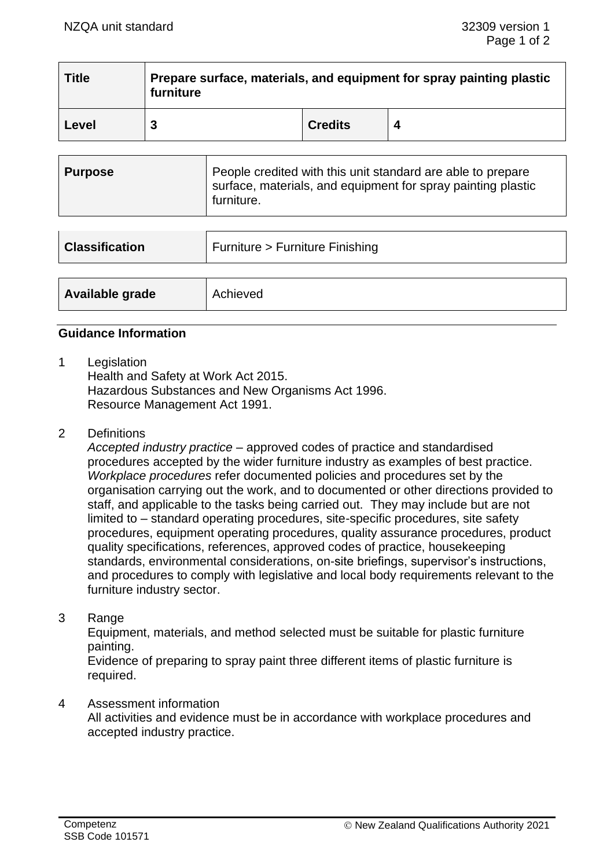| <b>Title</b> | Prepare surface, materials, and equipment for spray painting plastic<br>furniture |                |  |
|--------------|-----------------------------------------------------------------------------------|----------------|--|
| Level        |                                                                                   | <b>Credits</b> |  |

| Purpose | People credited with this unit standard are able to prepare<br>surface, materials, and equipment for spray painting plastic<br>furniture. |
|---------|-------------------------------------------------------------------------------------------------------------------------------------------|
|---------|-------------------------------------------------------------------------------------------------------------------------------------------|

| <b>Classification</b> | Furniture > Furniture Finishing |  |
|-----------------------|---------------------------------|--|
|                       |                                 |  |
| Available grade       | Achieved                        |  |

## **Guidance Information**

1 Legislation

Health and Safety at Work Act 2015. Hazardous Substances and New Organisms Act 1996. Resource Management Act 1991.

2 Definitions

*Accepted industry practice* – approved codes of practice and standardised procedures accepted by the wider furniture industry as examples of best practice. *Workplace procedures* refer documented policies and procedures set by the organisation carrying out the work, and to documented or other directions provided to staff, and applicable to the tasks being carried out. They may include but are not limited to – standard operating procedures, site-specific procedures, site safety procedures, equipment operating procedures, quality assurance procedures, product quality specifications, references, approved codes of practice, housekeeping standards, environmental considerations, on-site briefings, supervisor's instructions, and procedures to comply with legislative and local body requirements relevant to the furniture industry sector.

3 Range

Equipment, materials, and method selected must be suitable for plastic furniture painting.

Evidence of preparing to spray paint three different items of plastic furniture is required.

#### 4 Assessment information

All activities and evidence must be in accordance with workplace procedures and accepted industry practice.